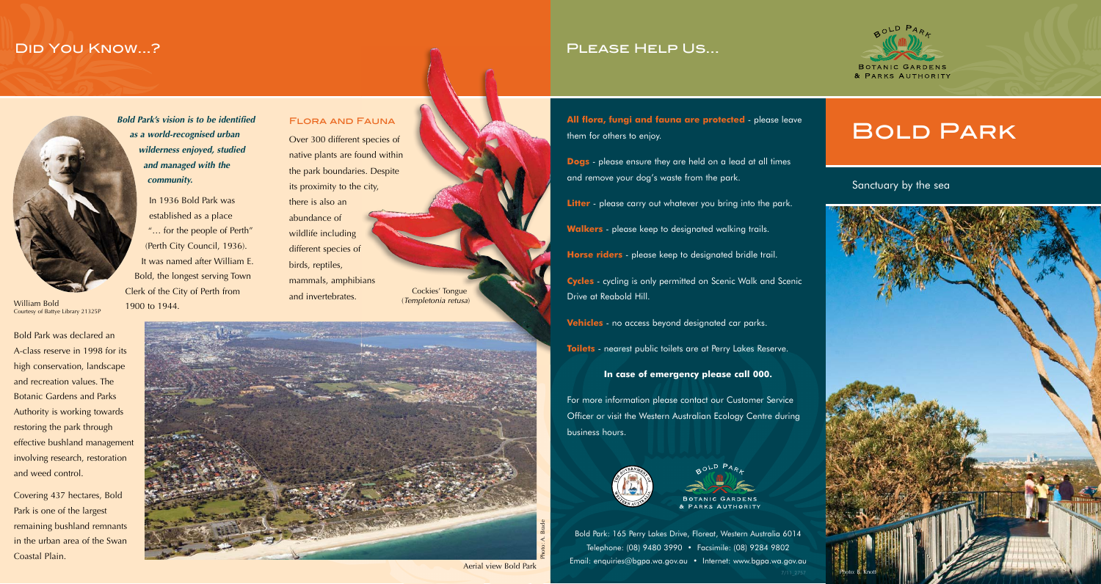## Did You Know...?



William Bold Courtesy of Battye Library 21325P

Bold Park was declared an A-class reserve in 1998 for its high conservation, landscape and recreation values. The Botanic Gardens and Parks Authority is working towards restoring the park through effective bushland management involving research, restoration and weed control.

Covering 437 hectares, Bold Park is one of the largest remaining bushland remnants in the urban area of the Swan Coastal Plain.

*Bold Park's vision is to be identified as a world-recognised urban wilderness enjoyed, studied and managed with the community.*

In 1936 Bold Park was established as a place "… for the people of Perth" (Perth City Council, 1936). It was named after William E. Bold, the longest serving Town Clerk of the City of Perth from 1900 to 1944.

Flora and Fauna Over 300 different species of native plants are found within the park boundaries. Despite its proximity to the city, there is also an abundance of wildlife including different species of birds, reptiles, mammals, amphibians and invertebrates. Cockies' Tongue (*Templetonia retusa*)



Aerial view Bold Park

## Please Help Us...

**All flora, fungi and fauna are protected** - please leave them for others to enjoy.

**Dogs** - please ensure they are held on a lead at all times and remove your dog's waste from the park.

**Litter** - please carry out whatever you bring into the park.

**Walkers** - please keep to designated walking trails.

**Horse riders** - please keep to designated bridle trail.

**Cycles** - cycling is only permitted on Scenic Walk and Scenic Drive at Reabold Hill.

**Vehicles** - no access beyond designated car parks.

**Toilets** - nearest public toilets are at Perry Lakes Reserve.

**In case of emergency please call 000.**

For more information please contact our Customer Service Officer or visit the Western Australian Ecology Centre during business hours.



PARKS AUTHORITY

Bold Park: 165 Perry Lakes Drive, Floreat, Western Australia 6014 Telephone: (08) 9480 3990 • Facsimile: (08) 9284 9802 Email: enquiries@bgpa.wa.gov.au • Internet: www.bgpa.wa.gov.au

# Bold Park

### Sanctuary by the sea

BOTANIC GARDENS & PARKS AUTHORITY